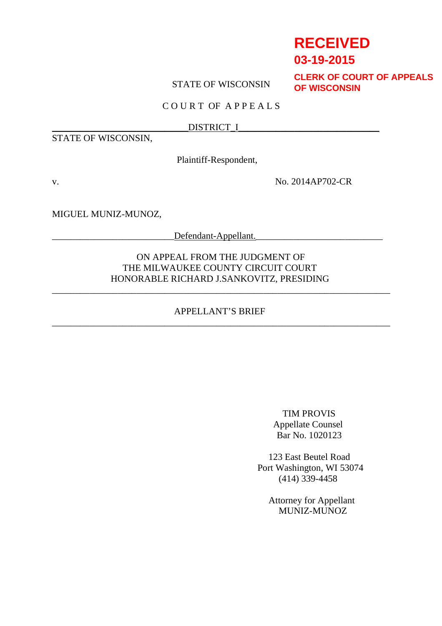# **RECEIVED**

## **03-19-2015**

## STATE OF WISCONSIN

**CLERK OF COURT OF APPEALS OF WISCONSIN**

## C O U R T OF A P P E A L S

#### \_\_\_\_\_\_\_\_\_\_\_\_\_\_\_\_\_\_\_\_\_\_\_\_\_\_\_\_\_DISTRICT\_I\_\_\_\_\_\_\_\_\_\_\_\_\_\_\_\_\_\_\_\_\_\_\_\_\_\_\_\_\_\_

STATE OF WISCONSIN,

Plaintiff-Respondent,

v. No. 2014AP702-CR

MIGUEL MUNIZ-MUNOZ,

 $Defendant-Appellant.$ 

## ON APPEAL FROM THE JUDGMENT OF THE MILWAUKEE COUNTY CIRCUIT COURT HONORABLE RICHARD J.SANKOVITZ, PRESIDING

## APPELLANT'S BRIEF \_\_\_\_\_\_\_\_\_\_\_\_\_\_\_\_\_\_\_\_\_\_\_\_\_\_\_\_\_\_\_\_\_\_\_\_\_\_\_\_\_\_\_\_\_\_\_\_\_\_\_\_\_\_\_\_\_\_\_\_\_\_\_\_\_\_\_\_\_\_\_\_

\_\_\_\_\_\_\_\_\_\_\_\_\_\_\_\_\_\_\_\_\_\_\_\_\_\_\_\_\_\_\_\_\_\_\_\_\_\_\_\_\_\_\_\_\_\_\_\_\_\_\_\_\_\_\_\_\_\_\_\_\_\_\_\_\_\_\_\_\_\_\_\_

TIM PROVIS Appellate Counsel Bar No. 1020123

123 East Beutel Road Port Washington, WI 53074 (414) 339-4458

Attorney for Appellant MUNIZ-MUNOZ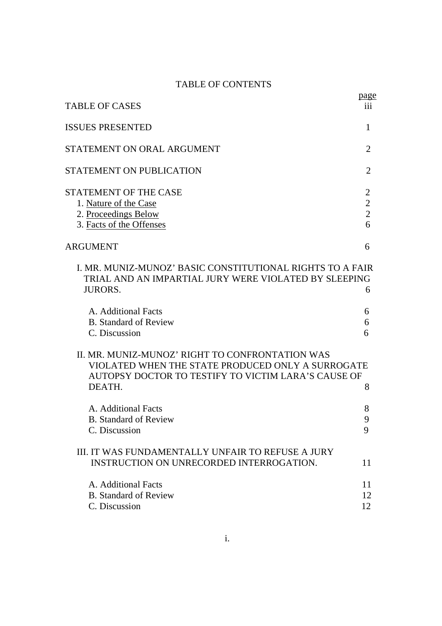## TABLE OF CONTENTS

| <b>TABLE OF CASES</b>                                                                                                                                                 | <u>page</u><br>iii                                      |
|-----------------------------------------------------------------------------------------------------------------------------------------------------------------------|---------------------------------------------------------|
| <b>ISSUES PRESENTED</b>                                                                                                                                               | 1                                                       |
| STATEMENT ON ORAL ARGUMENT                                                                                                                                            | $\overline{2}$                                          |
| <b>STATEMENT ON PUBLICATION</b>                                                                                                                                       | $\overline{2}$                                          |
| STATEMENT OF THE CASE<br>1. Nature of the Case<br>2. Proceedings Below<br>3. Facts of the Offenses                                                                    | $\overline{2}$<br>$\overline{2}$<br>$\overline{2}$<br>6 |
| ARGUMENT                                                                                                                                                              | 6                                                       |
| I. MR. MUNIZ-MUNOZ' BASIC CONSTITUTIONAL RIGHTS TO A FAIR<br>TRIAL AND AN IMPARTIAL JURY WERE VIOLATED BY SLEEPING<br><b>JURORS.</b>                                  | 6                                                       |
| A. Additional Facts<br><b>B.</b> Standard of Review<br>C. Discussion                                                                                                  | 6<br>6<br>6                                             |
| II. MR. MUNIZ-MUNOZ' RIGHT TO CONFRONTATION WAS<br>VIOLATED WHEN THE STATE PRODUCED ONLY A SURROGATE<br>AUTOPSY DOCTOR TO TESTIFY TO VICTIM LARA'S CAUSE OF<br>DEATH. | 8                                                       |
| A. Additional Facts<br><b>B.</b> Standard of Review<br>C. Discussion                                                                                                  | 8<br>9<br>9                                             |
| III. IT WAS FUNDAMENTALLY UNFAIR TO REFUSE A JURY<br>INSTRUCTION ON UNRECORDED INTERROGATION.                                                                         | 11                                                      |
| A. Additional Facts<br><b>B.</b> Standard of Review<br>C. Discussion                                                                                                  | 11<br>12<br>12                                          |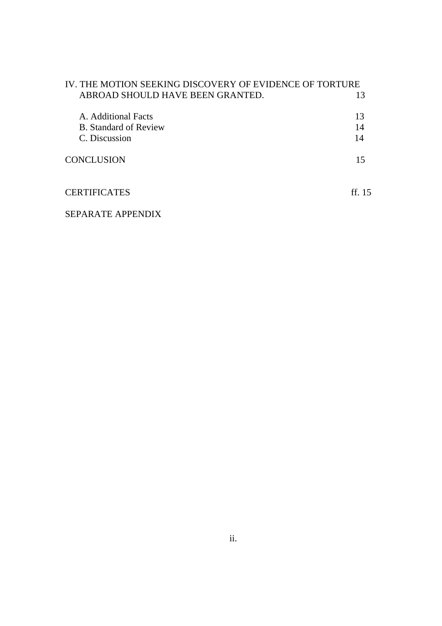| IV. THE MOTION SEEKING DISCOVERY OF EVIDENCE OF TORTURE |          |
|---------------------------------------------------------|----------|
| ABROAD SHOULD HAVE BEEN GRANTED.                        | 13       |
| A. Additional Facts                                     | 13       |
| B. Standard of Review                                   | 14       |
| C. Discussion                                           | 14       |
| <b>CONCLUSION</b>                                       | 15       |
| <b>CERTIFICATES</b>                                     | ff. $15$ |
| SEPARATE APPENDIX                                       |          |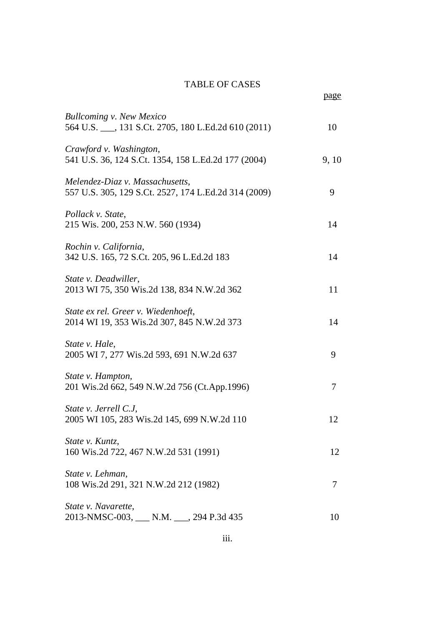## TABLE OF CASES

|                                                                                         | page  |
|-----------------------------------------------------------------------------------------|-------|
| <b>Bullcoming v. New Mexico</b><br>564 U.S. ___, 131 S.Ct. 2705, 180 L.Ed.2d 610 (2011) | 10    |
| Crawford v. Washington,<br>541 U.S. 36, 124 S.Ct. 1354, 158 L.Ed.2d 177 (2004)          | 9, 10 |
| Melendez-Diaz v. Massachusetts,<br>557 U.S. 305, 129 S.Ct. 2527, 174 L.Ed.2d 314 (2009) | 9     |
| Pollack v. State,<br>215 Wis. 200, 253 N.W. 560 (1934)                                  | 14    |
| Rochin v. California,<br>342 U.S. 165, 72 S.Ct. 205, 96 L.Ed.2d 183                     | 14    |
| State v. Deadwiller,<br>2013 WI 75, 350 Wis.2d 138, 834 N.W.2d 362                      | 11    |
| State ex rel. Greer v. Wiedenhoeft,<br>2014 WI 19, 353 Wis.2d 307, 845 N.W.2d 373       | 14    |
| State v. Hale,<br>2005 WI 7, 277 Wis.2d 593, 691 N.W.2d 637                             | 9     |
| State v. Hampton,<br>201 Wis.2d 662, 549 N.W.2d 756 (Ct.App.1996)                       | 7     |
| State v. Jerrell C.J,<br>2005 WI 105, 283 Wis.2d 145, 699 N.W.2d 110                    | 12    |
| State v. Kuntz.<br>160 Wis.2d 722, 467 N.W.2d 531 (1991)                                | 12    |
| State v. Lehman,<br>108 Wis.2d 291, 321 N.W.2d 212 (1982)                               | 7     |
| State <i>v.</i> Navarette.<br>2013-NMSC-003, ___ N.M. ___, 294 P.3d 435                 | 10    |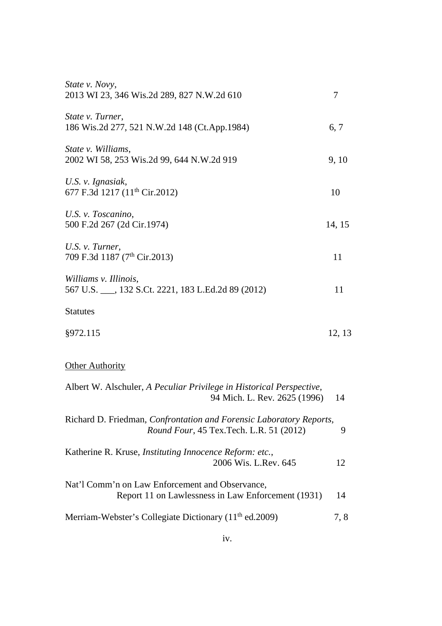| State v. Novy,<br>2013 WI 23, 346 Wis.2d 289, 827 N.W.2d 610                                                    | 7      |
|-----------------------------------------------------------------------------------------------------------------|--------|
| State v. Turner,<br>186 Wis.2d 277, 521 N.W.2d 148 (Ct.App.1984)                                                | 6, 7   |
| State v. Williams,<br>2002 WI 58, 253 Wis.2d 99, 644 N.W.2d 919                                                 | 9, 10  |
| U.S. v. Ignasiak,<br>677 F.3d 1217 (11 <sup>th</sup> Cir.2012)                                                  | 10     |
| U.S. v. Toscanino,<br>500 F.2d 267 (2d Cir.1974)                                                                | 14, 15 |
| U.S. v. Turner,<br>709 F.3d 1187 (7 <sup>th</sup> Cir.2013)                                                     | 11     |
| Williams v. Illinois,<br>567 U.S. ___, 132 S.Ct. 2221, 183 L.Ed.2d 89 (2012)                                    | 11     |
| <b>Statutes</b>                                                                                                 |        |
| §972.115                                                                                                        | 12, 13 |
| <b>Other Authority</b>                                                                                          |        |
| Albert W. Alschuler, A Peculiar Privilege in Historical Perspective,<br>94 Mich. L. Rev. 2625 (1996)            | 14     |
| Richard D. Friedman, Confrontation and Forensic Laboratory Reports,<br>Round Four, 45 Tex. Tech. L.R. 51 (2012) | 9      |
| Katherine R. Kruse, Instituting Innocence Reform: etc.,<br>2006 Wis. L.Rev. 645                                 | 12     |
| Nat'l Comm'n on Law Enforcement and Observance,<br>Report 11 on Lawlessness in Law Enforcement (1931)           | 14     |
| Merriam-Webster's Collegiate Dictionary (11 <sup>th</sup> ed.2009)                                              | 7,8    |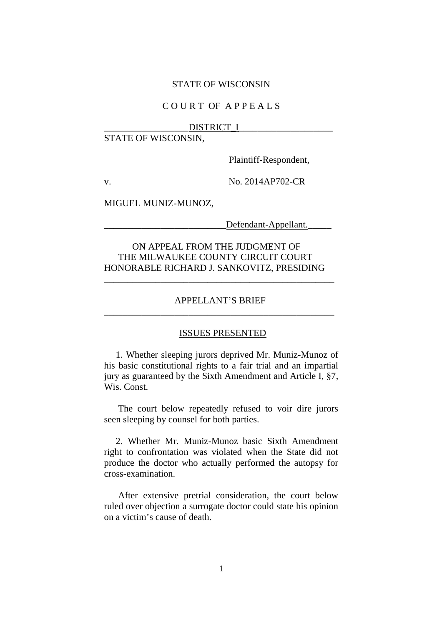#### STATE OF WISCONSIN

## C O U R T OF A P P E A L S

#### DISTRICT I

## STATE OF WISCONSIN,

Plaintiff-Respondent,

v. No. 2014AP702-CR

MIGUEL MUNIZ-MUNOZ,

Defendant-Appellant.

## ON APPEAL FROM THE JUDGMENT OF THE MILWAUKEE COUNTY CIRCUIT COURT HONORABLE RICHARD J. SANKOVITZ, PRESIDING

## APPELLANT'S BRIEF \_\_\_\_\_\_\_\_\_\_\_\_\_\_\_\_\_\_\_\_\_\_\_\_\_\_\_\_\_\_\_\_\_\_\_\_\_\_\_\_\_\_\_\_\_\_\_\_\_

\_\_\_\_\_\_\_\_\_\_\_\_\_\_\_\_\_\_\_\_\_\_\_\_\_\_\_\_\_\_\_\_\_\_\_\_\_\_\_\_\_\_\_\_\_\_\_\_\_

#### ISSUES PRESENTED

1. Whether sleeping jurors deprived Mr. Muniz-Munoz of his basic constitutional rights to a fair trial and an impartial jury as guaranteed by the Sixth Amendment and Article I, §7, Wis. Const.

The court below repeatedly refused to voir dire jurors seen sleeping by counsel for both parties.

2. Whether Mr. Muniz-Munoz basic Sixth Amendment right to confrontation was violated when the State did not produce the doctor who actually performed the autopsy for cross-examination.

After extensive pretrial consideration, the court below ruled over objection a surrogate doctor could state his opinion on a victim's cause of death.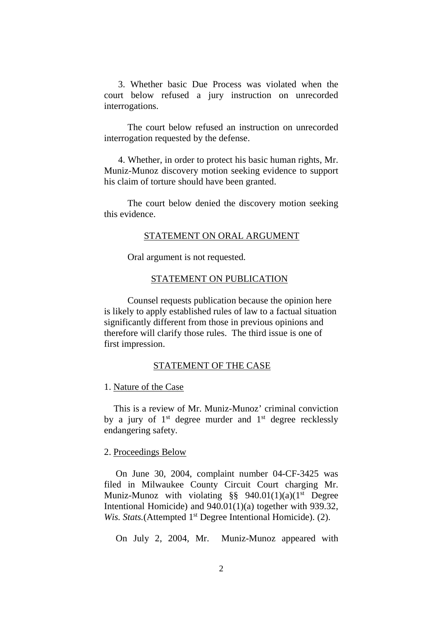3. Whether basic Due Process was violated when the court below refused a jury instruction on unrecorded interrogations.

The court below refused an instruction on unrecorded interrogation requested by the defense.

4. Whether, in order to protect his basic human rights, Mr. Muniz-Munoz discovery motion seeking evidence to support his claim of torture should have been granted.

The court below denied the discovery motion seeking this evidence.

#### STATEMENT ON ORAL ARGUMENT

Oral argument is not requested.

#### STATEMENT ON PUBLICATION

Counsel requests publication because the opinion here is likely to apply established rules of law to a factual situation significantly different from those in previous opinions and therefore will clarify those rules. The third issue is one of first impression.

#### STATEMENT OF THE CASE

#### 1. Nature of the Case

This is a review of Mr. Muniz-Munoz' criminal conviction by a jury of  $1<sup>st</sup>$  degree murder and  $1<sup>st</sup>$  degree recklessly endangering safety.

#### 2. Proceedings Below

On June 30, 2004, complaint number 04-CF-3425 was filed in Milwaukee County Circuit Court charging Mr. Muniz-Munoz with violating  $\S$ § 940.01(1)(a)(1<sup>st</sup> Degree Intentional Homicide) and 940.01(1)(a) together with 939.32, *Wis. Stats.*(Attempted 1<sup>st</sup> Degree Intentional Homicide). (2).

On July 2, 2004, Mr. Muniz-Munoz appeared with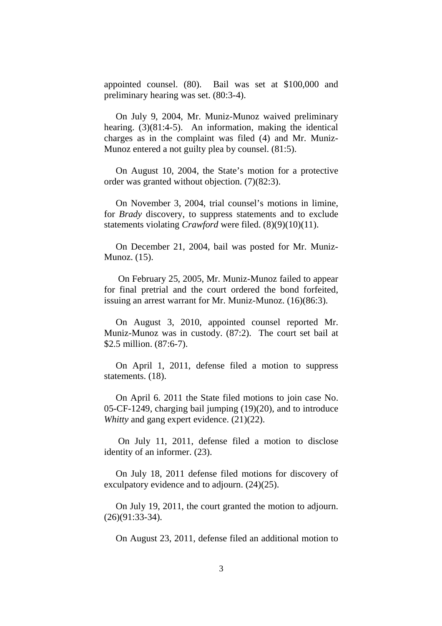appointed counsel. (80). Bail was set at \$100,000 and preliminary hearing was set. (80:3-4).

On July 9, 2004, Mr. Muniz-Munoz waived preliminary hearing. (3)(81:4-5). An information, making the identical charges as in the complaint was filed (4) and Mr. Muniz-Munoz entered a not guilty plea by counsel. (81:5).

On August 10, 2004, the State's motion for a protective order was granted without objection. (7)(82:3).

On November 3, 2004, trial counsel's motions in limine, for *Brady* discovery, to suppress statements and to exclude statements violating *Crawford* were filed. (8)(9)(10)(11).

On December 21, 2004, bail was posted for Mr. Muniz-Munoz. (15).

On February 25, 2005, Mr. Muniz-Munoz failed to appear for final pretrial and the court ordered the bond forfeited, issuing an arrest warrant for Mr. Muniz-Munoz. (16)(86:3).

On August 3, 2010, appointed counsel reported Mr. Muniz-Munoz was in custody. (87:2). The court set bail at \$2.5 million. (87:6-7).

On April 1, 2011, defense filed a motion to suppress statements. (18).

On April 6. 2011 the State filed motions to join case No. 05-CF-1249, charging bail jumping (19)(20), and to introduce *Whitty* and gang expert evidence. (21)(22).

On July 11, 2011, defense filed a motion to disclose identity of an informer. (23).

On July 18, 2011 defense filed motions for discovery of exculpatory evidence and to adjourn. (24)(25).

On July 19, 2011, the court granted the motion to adjourn. (26)(91:33-34).

On August 23, 2011, defense filed an additional motion to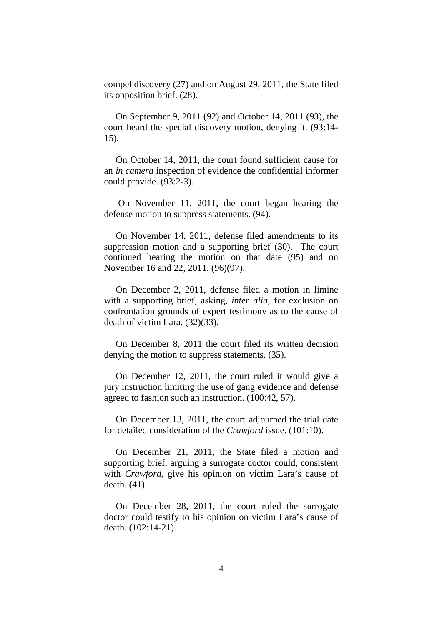compel discovery (27) and on August 29, 2011, the State filed its opposition brief. (28).

On September 9, 2011 (92) and October 14, 2011 (93), the court heard the special discovery motion, denying it. (93:14- 15).

On October 14, 2011, the court found sufficient cause for an *in camera* inspection of evidence the confidential informer could provide. (93:2-3).

On November 11, 2011, the court began hearing the defense motion to suppress statements. (94).

On November 14, 2011, defense filed amendments to its suppression motion and a supporting brief (30). The court continued hearing the motion on that date (95) and on November 16 and 22, 2011. (96)(97).

On December 2, 2011, defense filed a motion in limine with a supporting brief, asking, *inter alia*, for exclusion on confrontation grounds of expert testimony as to the cause of death of victim Lara. (32)(33).

On December 8, 2011 the court filed its written decision denying the motion to suppress statements. (35).

On December 12, 2011, the court ruled it would give a jury instruction limiting the use of gang evidence and defense agreed to fashion such an instruction. (100:42, 57).

On December 13, 2011, the court adjourned the trial date for detailed consideration of the *Crawford* issue. (101:10).

On December 21, 2011, the State filed a motion and supporting brief, arguing a surrogate doctor could, consistent with *Crawford*, give his opinion on victim Lara's cause of death. (41).

On December 28, 2011, the court ruled the surrogate doctor could testify to his opinion on victim Lara's cause of death. (102:14-21).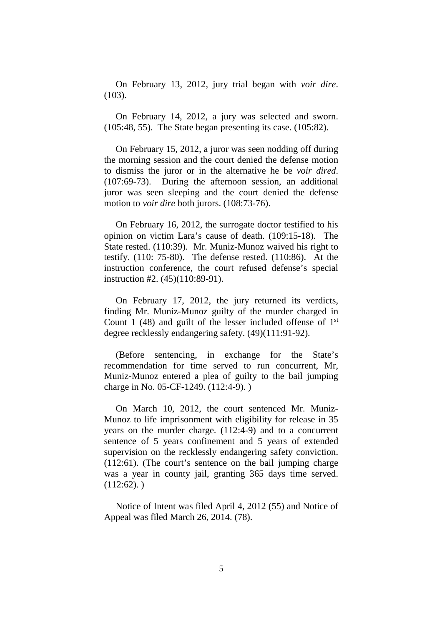On February 13, 2012, jury trial began with *voir dire*. (103).

On February 14, 2012, a jury was selected and sworn. (105:48, 55). The State began presenting its case. (105:82).

On February 15, 2012, a juror was seen nodding off during the morning session and the court denied the defense motion to dismiss the juror or in the alternative he be *voir dired*. (107:69-73). During the afternoon session, an additional juror was seen sleeping and the court denied the defense motion to *voir dire* both jurors. (108:73-76).

On February 16, 2012, the surrogate doctor testified to his opinion on victim Lara's cause of death. (109:15-18). The State rested. (110:39). Mr. Muniz-Munoz waived his right to testify. (110: 75-80). The defense rested. (110:86). At the instruction conference, the court refused defense's special instruction #2. (45)(110:89-91).

On February 17, 2012, the jury returned its verdicts, finding Mr. Muniz-Munoz guilty of the murder charged in Count 1 (48) and guilt of the lesser included offense of  $1<sup>st</sup>$ degree recklessly endangering safety. (49)(111:91-92).

(Before sentencing, in exchange for the State's recommendation for time served to run concurrent, Mr, Muniz-Munoz entered a plea of guilty to the bail jumping charge in No. 05-CF-1249. (112:4-9). )

On March 10, 2012, the court sentenced Mr. Muniz-Munoz to life imprisonment with eligibility for release in 35 years on the murder charge. (112:4-9) and to a concurrent sentence of 5 years confinement and 5 years of extended supervision on the recklessly endangering safety conviction. (112:61). (The court's sentence on the bail jumping charge was a year in county jail, granting 365 days time served.  $(112:62)$ .

Notice of Intent was filed April 4, 2012 (55) and Notice of Appeal was filed March 26, 2014. (78).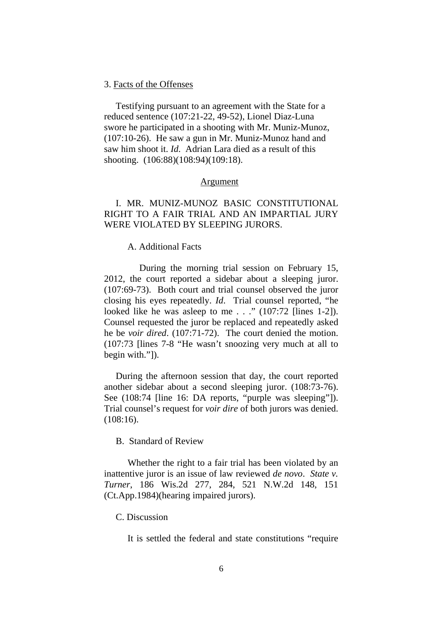#### 3. Facts of the Offenses

Testifying pursuant to an agreement with the State for a reduced sentence (107:21-22, 49-52), Lionel Diaz-Luna swore he participated in a shooting with Mr. Muniz-Munoz, (107:10-26). He saw a gun in Mr. Muniz-Munoz hand and saw him shoot it. *Id*. Adrian Lara died as a result of this shooting. (106:88)(108:94)(109:18).

#### Argument

## I. MR. MUNIZ-MUNOZ BASIC CONSTITUTIONAL RIGHT TO A FAIR TRIAL AND AN IMPARTIAL JURY WERE VIOLATED BY SLEEPING JURORS.

#### A. Additional Facts

During the morning trial session on February 15, 2012, the court reported a sidebar about a sleeping juror. (107:69-73). Both court and trial counsel observed the juror closing his eyes repeatedly. *Id*. Trial counsel reported, "he looked like he was asleep to me . . ." (107:72 [lines 1-2]). Counsel requested the juror be replaced and repeatedly asked he be *voir dired*. (107:71-72). The court denied the motion. (107:73 [lines 7-8 "He wasn't snoozing very much at all to begin with."]).

During the afternoon session that day, the court reported another sidebar about a second sleeping juror. (108:73-76). See (108:74 [line 16: DA reports, "purple was sleeping"]). Trial counsel's request for *voir dire* of both jurors was denied. (108:16).

B. Standard of Review

Whether the right to a fair trial has been violated by an inattentive juror is an issue of law reviewed *de novo*. *State v. Turner*, 186 Wis.2d 277, 284, 521 N.W.2d 148, 151 (Ct.App.1984)(hearing impaired jurors).

#### C. Discussion

It is settled the federal and state constitutions "require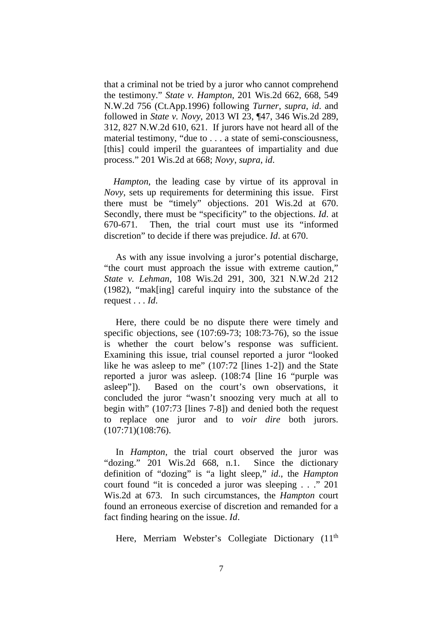that a criminal not be tried by a juror who cannot comprehend the testimony." *State v. Hampton*, 201 Wis.2d 662, 668, 549 N.W.2d 756 (Ct.App.1996) following *Turner*, *supra*, *id*. and followed in *State v. Novy*, 2013 WI 23, ¶47, 346 Wis.2d 289, 312, 827 N.W.2d 610, 621. If jurors have not heard all of the material testimony, "due to . . . a state of semi-consciousness, [this] could imperil the guarantees of impartiality and due process." 201 Wis.2d at 668; *Novy*, *supra*, *id*.

*Hampton*, the leading case by virtue of its approval in *Novy*, sets up requirements for determining this issue. First there must be "timely" objections. 201 Wis.2d at 670. Secondly, there must be "specificity" to the objections. *Id*. at 670-671. Then, the trial court must use its "informed discretion" to decide if there was prejudice. *Id*. at 670.

As with any issue involving a juror's potential discharge, "the court must approach the issue with extreme caution," *State v. Lehman*, 108 Wis.2d 291, 300, 321 N.W.2d 212 (1982), "mak[ing] careful inquiry into the substance of the request . . . *Id*.

Here, there could be no dispute there were timely and specific objections, see (107:69-73; 108:73-76), so the issue is whether the court below's response was sufficient. Examining this issue, trial counsel reported a juror "looked like he was asleep to me" (107:72 [lines 1-2]) and the State reported a juror was asleep. (108:74 [line 16 "purple was asleep"]). Based on the court's own observations, it concluded the juror "wasn't snoozing very much at all to begin with" (107:73 [lines 7-8]) and denied both the request to replace one juror and to *voir dire* both jurors.  $(107:71)(108:76)$ .

In *Hampton*, the trial court observed the juror was "dozing." 201 Wis.2d 668, n.1. Since the dictionary definition of "dozing" is "a light sleep," *id*., the *Hampton* court found "it is conceded a juror was sleeping . . ." 201 Wis.2d at 673. In such circumstances, the *Hampton* court found an erroneous exercise of discretion and remanded for a fact finding hearing on the issue. *Id*.

Here, Merriam Webster's Collegiate Dictionary (11<sup>th</sup>)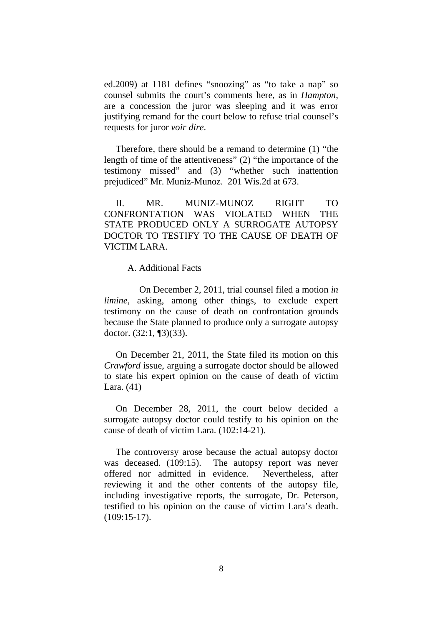ed.2009) at 1181 defines "snoozing" as "to take a nap" so counsel submits the court's comments here, as in *Hampton*, are a concession the juror was sleeping and it was error justifying remand for the court below to refuse trial counsel's requests for juror *voir dire*.

Therefore, there should be a remand to determine (1) "the length of time of the attentiveness" (2) "the importance of the testimony missed" and (3) "whether such inattention prejudiced" Mr. Muniz-Munoz. 201 Wis.2d at 673.

II. MR. MUNIZ-MUNOZ RIGHT TO CONFRONTATION WAS VIOLATED WHEN THE STATE PRODUCED ONLY A SURROGATE AUTOPSY DOCTOR TO TESTIFY TO THE CAUSE OF DEATH OF VICTIM LARA.

A. Additional Facts

On December 2, 2011, trial counsel filed a motion *in limine*, asking, among other things, to exclude expert testimony on the cause of death on confrontation grounds because the State planned to produce only a surrogate autopsy doctor. (32:1, ¶3)(33).

On December 21, 2011, the State filed its motion on this *Crawford* issue, arguing a surrogate doctor should be allowed to state his expert opinion on the cause of death of victim Lara. (41)

On December 28, 2011, the court below decided a surrogate autopsy doctor could testify to his opinion on the cause of death of victim Lara. (102:14-21).

The controversy arose because the actual autopsy doctor was deceased. (109:15). The autopsy report was never offered nor admitted in evidence. Nevertheless, after reviewing it and the other contents of the autopsy file, including investigative reports, the surrogate, Dr. Peterson, testified to his opinion on the cause of victim Lara's death. (109:15-17).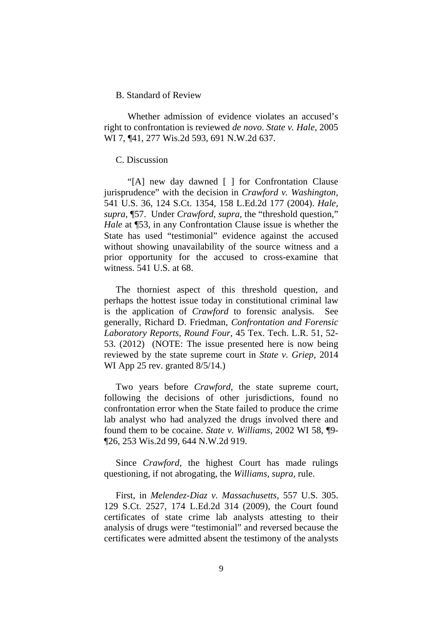#### B. Standard of Review

Whether admission of evidence violates an accused's right to confrontation is reviewed *de novo*. *State v. Hale*, 2005 WI 7, ¶41, 277 Wis.2d 593, 691 N.W.2d 637.

#### C. Discussion

"[A] new day dawned [ ] for Confrontation Clause jurisprudence" with the decision in *Crawford v. Washington,* 541 U.S. 36, 124 S.Ct. 1354, 158 L.Ed.2d 177 (2004). *Hale, supra,* ¶57. Under *Crawford, supra*, the "threshold question," *Hale* at **[53, in any Confrontation Clause issue is whether the** State has used "testimonial" evidence against the accused without showing unavailability of the source witness and a prior opportunity for the accused to cross-examine that witness. 541 U.S. at 68.

The thorniest aspect of this threshold question, and perhaps the hottest issue today in constitutional criminal law is the application of *Crawford* to forensic analysis. See generally, Richard D. Friedman, *Confrontation and Forensic Laboratory Reports, Round Four*, 45 Tex. Tech. L.R. 51, 52- 53. (2012) (NOTE: The issue presented here is now being reviewed by the state supreme court in *State v. Griep*, 2014 WI App 25 rev. granted 8/5/14.)

Two years before *Crawford*, the state supreme court, following the decisions of other jurisdictions, found no confrontation error when the State failed to produce the crime lab analyst who had analyzed the drugs involved there and found them to be cocaine. *State v. Williams*, 2002 WI 58, ¶9- ¶26, 253 Wis.2d 99, 644 N.W.2d 919.

Since *Crawford*, the highest Court has made rulings questioning, if not abrogating, the *Williams, supra,* rule.

First, in *Melendez-Diaz v. Massachusetts*, 557 U.S. 305. 129 S.Ct. 2527, 174 L.Ed.2d 314 (2009), the Court found certificates of state crime lab analysts attesting to their analysis of drugs were "testimonial" and reversed because the certificates were admitted absent the testimony of the analysts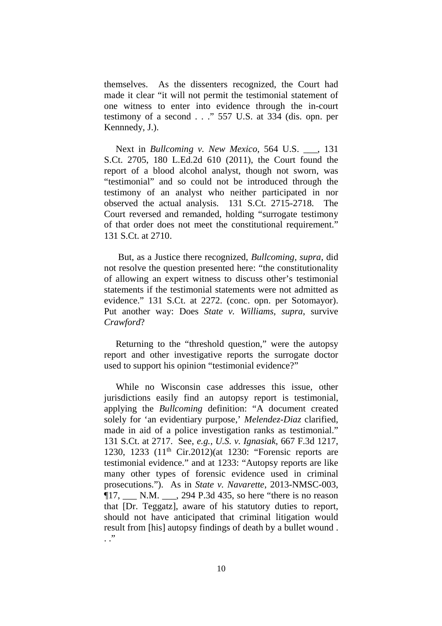themselves. As the dissenters recognized, the Court had made it clear "it will not permit the testimonial statement of one witness to enter into evidence through the in-court testimony of a second . . ." 557 U.S. at 334 (dis. opn. per Kennnedy, J.).

Next in *Bullcoming v. New Mexico*, 564 U.S. \_\_\_, 131 S.Ct. 2705, 180 L.Ed.2d 610 (2011), the Court found the report of a blood alcohol analyst, though not sworn, was "testimonial" and so could not be introduced through the testimony of an analyst who neither participated in nor observed the actual analysis. 131 S.Ct. 2715-2718. The Court reversed and remanded, holding "surrogate testimony of that order does not meet the constitutional requirement." 131 S.Ct. at 2710.

But, as a Justice there recognized, *Bullcoming*, *supra*, did not resolve the question presented here: "the constitutionality of allowing an expert witness to discuss other's testimonial statements if the testimonial statements were not admitted as evidence." 131 S.Ct. at 2272. (conc. opn. per Sotomayor). Put another way: Does *State v. Williams, supra*, survive *Crawford*?

Returning to the "threshold question," were the autopsy report and other investigative reports the surrogate doctor used to support his opinion "testimonial evidence?"

While no Wisconsin case addresses this issue, other jurisdictions easily find an autopsy report is testimonial, applying the *Bullcoming* definition: "A document created solely for 'an evidentiary purpose,' *Melendez-Diaz* clarified, made in aid of a police investigation ranks as testimonial." 131 S.Ct. at 2717. See, *e.g.*, *U.S. v. Ignasiak*, 667 F.3d 1217, 1230, 1233 (11th Cir.2012)(at 1230: "Forensic reports are testimonial evidence." and at 1233: "Autopsy reports are like many other types of forensic evidence used in criminal prosecutions."). As in *State v. Navarette*, 2013-NMSC-003, ¶17, \_\_\_ N.M. \_\_\_, 294 P.3d 435, so here "there is no reason that [Dr. Teggatz], aware of his statutory duties to report, should not have anticipated that criminal litigation would result from [his] autopsy findings of death by a bullet wound . . ."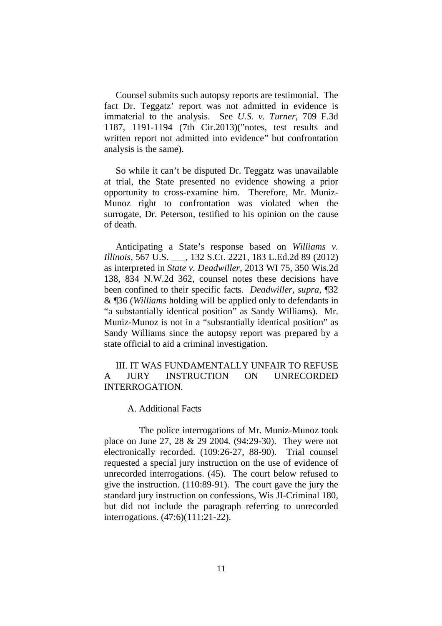Counsel submits such autopsy reports are testimonial. The fact Dr. Teggatz' report was not admitted in evidence is immaterial to the analysis. See *U.S. v. Turner*, 709 F.3d 1187, 1191-1194 (7th Cir.2013)("notes, test results and written report not admitted into evidence" but confrontation analysis is the same).

So while it can't be disputed Dr. Teggatz was unavailable at trial, the State presented no evidence showing a prior opportunity to cross-examine him. Therefore, Mr. Muniz-Munoz right to confrontation was violated when the surrogate, Dr. Peterson, testified to his opinion on the cause of death.

Anticipating a State's response based on *Williams v. Illinois*, 567 U.S. \_\_\_, 132 S.Ct. 2221, 183 L.Ed.2d 89 (2012) as interpreted in *State v. Deadwiller*, 2013 WI 75, 350 Wis.2d 138, 834 N.W.2d 362, counsel notes these decisions have been confined to their specific facts. *Deadwiller, supra*, ¶32 & ¶36 (*Williams* holding will be applied only to defendants in "a substantially identical position" as Sandy Williams). Mr. Muniz-Munoz is not in a "substantially identical position" as Sandy Williams since the autopsy report was prepared by a state official to aid a criminal investigation.

III. IT WAS FUNDAMENTALLY UNFAIR TO REFUSE A JURY INSTRUCTION ON UNRECORDED INTERROGATION.

A. Additional Facts

The police interrogations of Mr. Muniz-Munoz took place on June 27, 28 & 29 2004. (94:29-30). They were not electronically recorded. (109:26-27, 88-90). Trial counsel requested a special jury instruction on the use of evidence of unrecorded interrogations. (45). The court below refused to give the instruction. (110:89-91). The court gave the jury the standard jury instruction on confessions, Wis JI-Criminal 180, but did not include the paragraph referring to unrecorded interrogations. (47:6)(111:21-22).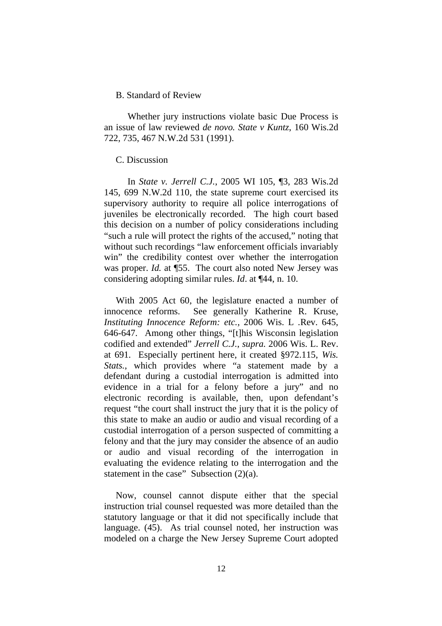#### B. Standard of Review

Whether jury instructions violate basic Due Process is an issue of law reviewed *de novo. State v Kuntz*, 160 Wis.2d 722, 735, 467 N.W.2d 531 (1991).

#### C. Discussion

In *State v. Jerrell C.J.*, 2005 WI 105, ¶3, 283 Wis.2d 145, 699 N.W.2d 110, the state supreme court exercised its supervisory authority to require all police interrogations of juveniles be electronically recorded. The high court based this decision on a number of policy considerations including "such a rule will protect the rights of the accused," noting that without such recordings "law enforcement officials invariably win" the credibility contest over whether the interrogation was proper. *Id.* at ¶55. The court also noted New Jersey was considering adopting similar rules. *Id*. at ¶44, n. 10.

With 2005 Act 60, the legislature enacted a number of innocence reforms. See generally Katherine R. Kruse, *Instituting Innocence Reform: etc.*, 2006 Wis. L .Rev. 645, 646-647. Among other things, "[t]his Wisconsin legislation codified and extended" *Jerrell C.J.*, *supra.* 2006 Wis. L. Rev. at 691. Especially pertinent here, it created §972.115, *Wis. Stats.*, which provides where "a statement made by a defendant during a custodial interrogation is admitted into evidence in a trial for a felony before a jury" and no electronic recording is available, then, upon defendant's request "the court shall instruct the jury that it is the policy of this state to make an audio or audio and visual recording of a custodial interrogation of a person suspected of committing a felony and that the jury may consider the absence of an audio or audio and visual recording of the interrogation in evaluating the evidence relating to the interrogation and the statement in the case" Subsection  $(2)(a)$ .

Now, counsel cannot dispute either that the special instruction trial counsel requested was more detailed than the statutory language or that it did not specifically include that language. (45). As trial counsel noted, her instruction was modeled on a charge the New Jersey Supreme Court adopted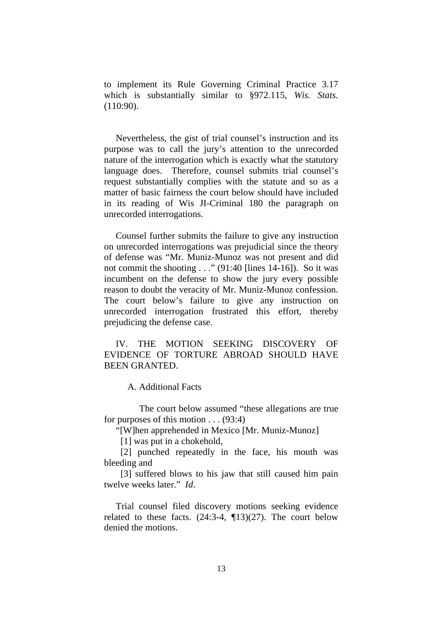to implement its Rule Governing Criminal Practice 3.17 which is substantially similar to §972.115, *Wis. Stats.* (110:90).

Nevertheless, the gist of trial counsel's instruction and its purpose was to call the jury's attention to the unrecorded nature of the interrogation which is exactly what the statutory language does. Therefore, counsel submits trial counsel's request substantially complies with the statute and so as a matter of basic fairness the court below should have included in its reading of Wis JI-Criminal 180 the paragraph on unrecorded interrogations.

Counsel further submits the failure to give any instruction on unrecorded interrogations was prejudicial since the theory of defense was "Mr. Muniz-Munoz was not present and did not commit the shooting . . ." (91:40 [lines 14-16]). So it was incumbent on the defense to show the jury every possible reason to doubt the veracity of Mr. Muniz-Munoz confession. The court below's failure to give any instruction on unrecorded interrogation frustrated this effort, thereby prejudicing the defense case.

IV. THE MOTION SEEKING DISCOVERY OF EVIDENCE OF TORTURE ABROAD SHOULD HAVE BEEN GRANTED.

A. Additional Facts

The court below assumed "these allegations are true for purposes of this motion . . . (93:4)

"[W]hen apprehended in Mexico [Mr. Muniz-Munoz]

[1] was put in a chokehold,

[2] punched repeatedly in the face, his mouth was bleeding and

[3] suffered blows to his jaw that still caused him pain twelve weeks later." *Id*.

Trial counsel filed discovery motions seeking evidence related to these facts.  $(24:3-4, 13)(27)$ . The court below denied the motions.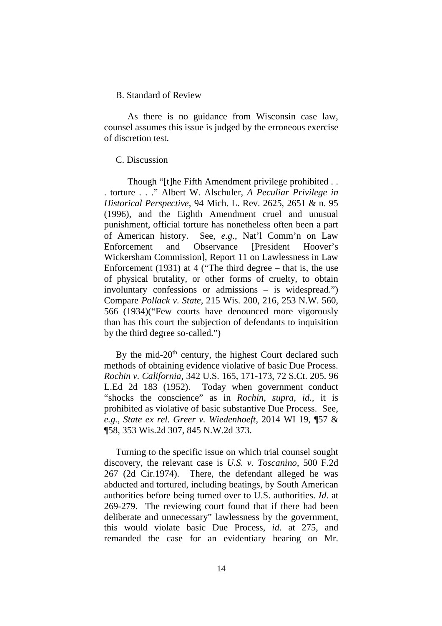#### B. Standard of Review

As there is no guidance from Wisconsin case law, counsel assumes this issue is judged by the erroneous exercise of discretion test.

### C. Discussion

Though "[t]he Fifth Amendment privilege prohibited . . . torture . . ." Albert W. Alschuler, *A Peculiar Privilege in Historical Perspective*, 94 Mich. L. Rev. 2625, 2651 & n. 95 (1996), and the Eighth Amendment cruel and unusual punishment, official torture has nonetheless often been a part of American history. See, *e.g.*, Nat'l Comm'n on Law Enforcement and Observance [President Hoover's Wickersham Commission], Report 11 on Lawlessness in Law Enforcement (1931) at 4 ("The third degree  $-$  that is, the use of physical brutality, or other forms of cruelty, to obtain involuntary confessions or admissions – is widespread.") Compare *Pollack v. State*, 215 Wis. 200, 216, 253 N.W. 560, 566 (1934)("Few courts have denounced more vigorously than has this court the subjection of defendants to inquisition by the third degree so-called.")

By the mid-20<sup>th</sup> century, the highest Court declared such methods of obtaining evidence violative of basic Due Process. *Rochin v. California*, 342 U.S. 165, 171-173, 72 S.Ct. 205. 96 L.Ed 2d 183 (1952). Today when government conduct "shocks the conscience" as in *Rochin*, *supra, id.*, it is prohibited as violative of basic substantive Due Process. See, *e.g.*, *State ex rel. Greer v. Wiedenhoeft*, 2014 WI 19, ¶57 & ¶58, 353 Wis.2d 307, 845 N.W.2d 373.

Turning to the specific issue on which trial counsel sought discovery, the relevant case is *U.S. v. Toscanino*, 500 F.2d 267 (2d Cir.1974). There, the defendant alleged he was abducted and tortured, including beatings, by South American authorities before being turned over to U.S. authorities. *Id*. at 269-279. The reviewing court found that if there had been deliberate and unnecessary" lawlessness by the government, this would violate basic Due Process, *id*. at 275, and remanded the case for an evidentiary hearing on Mr.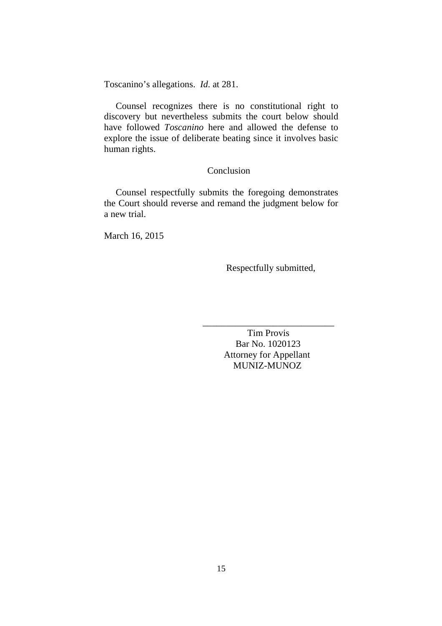Toscanino's allegations. *Id*. at 281.

Counsel recognizes there is no constitutional right to discovery but nevertheless submits the court below should have followed *Toscanino* here and allowed the defense to explore the issue of deliberate beating since it involves basic human rights.

## Conclusion

Counsel respectfully submits the foregoing demonstrates the Court should reverse and remand the judgment below for a new trial.

March 16, 2015

Respectfully submitted,

Tim Provis Bar No. 1020123 Attorney for Appellant MUNIZ-MUNOZ

\_\_\_\_\_\_\_\_\_\_\_\_\_\_\_\_\_\_\_\_\_\_\_\_\_\_\_\_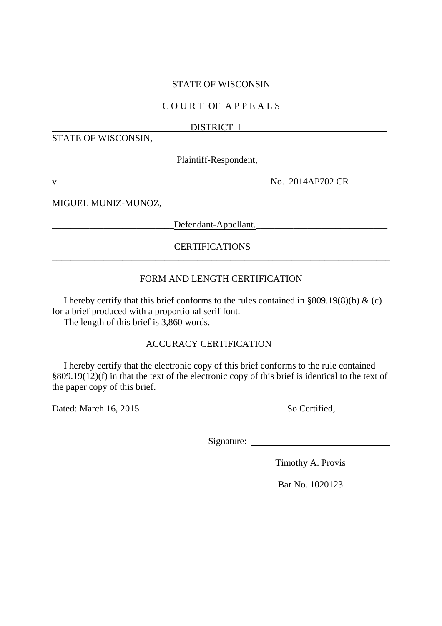## STATE OF WISCONSIN

## C O U R T OF A P P E A L S

## DISTRICT\_I

STATE OF WISCONSIN,

Plaintiff-Respondent,

v. No. 2014AP702 CR

MIGUEL MUNIZ-MUNOZ,

\_\_\_\_\_\_\_\_\_\_\_\_\_\_\_\_\_\_\_\_\_\_\_\_\_\_Defendant-Appellant.\_\_\_\_\_\_\_\_\_\_\_\_\_\_\_\_\_\_\_\_\_\_\_\_\_\_\_\_

## CERTIFICATIONS

## FORM AND LENGTH CERTIFICATION

\_\_\_\_\_\_\_\_\_\_\_\_\_\_\_\_\_\_\_\_\_\_\_\_\_\_\_\_\_\_\_\_\_\_\_\_\_\_\_\_\_\_\_\_\_\_\_\_\_\_\_\_\_\_\_\_\_\_\_\_\_\_\_\_\_\_\_\_\_\_\_\_

I hereby certify that this brief conforms to the rules contained in  $\S 809.19(8)(b)$  & (c) for a brief produced with a proportional serif font.

The length of this brief is 3,860 words.

## ACCURACY CERTIFICATION

I hereby certify that the electronic copy of this brief conforms to the rule contained §809.19(12)(f) in that the text of the electronic copy of this brief is identical to the text of the paper copy of this brief.

Dated: March 16, 2015 So Certified,

Signature:

Timothy A. Provis

Bar No. 1020123